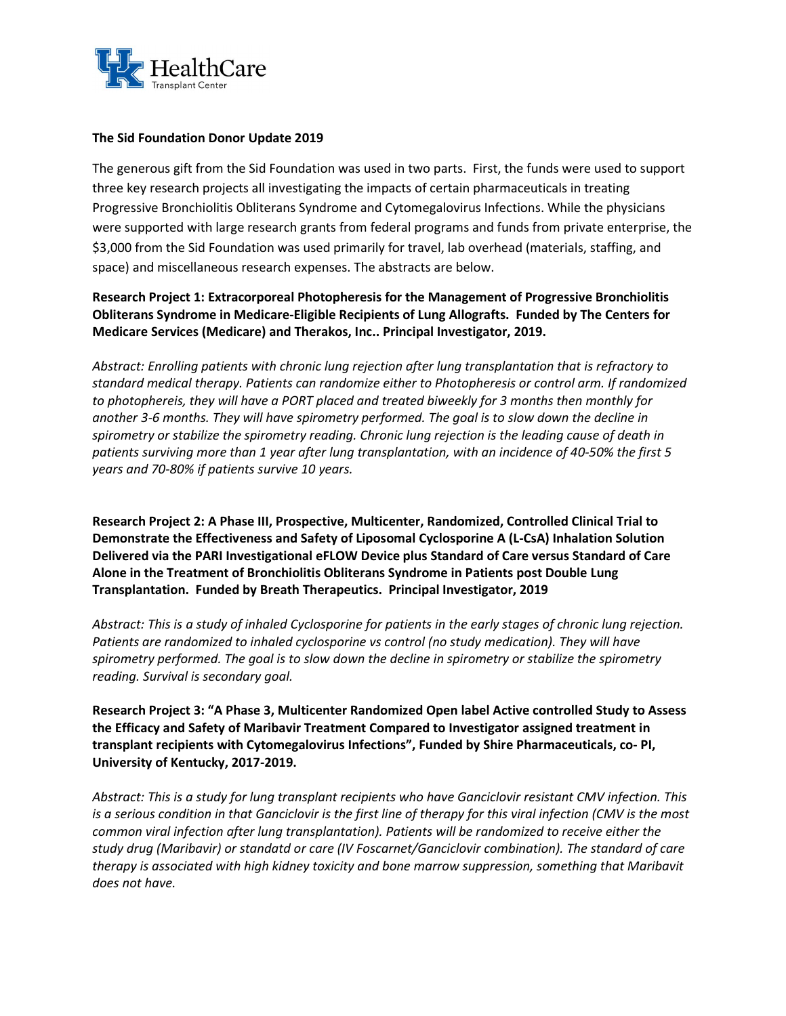

## The Sid Foundation Donor Update 2019

The generous gift from the Sid Foundation was used in two parts. First, the funds were used to support three key research projects all investigating the impacts of certain pharmaceuticals in treating Progressive Bronchiolitis Obliterans Syndrome and Cytomegalovirus Infections. While the physicians were supported with large research grants from federal programs and funds from private enterprise, the \$3,000 from the Sid Foundation was used primarily for travel, lab overhead (materials, staffing, and space) and miscellaneous research expenses. The abstracts are below.

Research Project 1: Extracorporeal Photopheresis for the Management of Progressive Bronchiolitis Obliterans Syndrome in Medicare-Eligible Recipients of Lung Allografts. Funded by The Centers for Medicare Services (Medicare) and Therakos, Inc.. Principal Investigator, 2019.

Abstract: Enrolling patients with chronic lung rejection after lung transplantation that is refractory to standard medical therapy. Patients can randomize either to Photopheresis or control arm. If randomized to photophereis, they will have a PORT placed and treated biweekly for 3 months then monthly for another 3-6 months. They will have spirometry performed. The goal is to slow down the decline in spirometry or stabilize the spirometry reading. Chronic lung rejection is the leading cause of death in patients surviving more than 1 year after lung transplantation, with an incidence of 40-50% the first 5 years and 70-80% if patients survive 10 years.

Research Project 2: A Phase III, Prospective, Multicenter, Randomized, Controlled Clinical Trial to Demonstrate the Effectiveness and Safety of Liposomal Cyclosporine A (L-CsA) Inhalation Solution Delivered via the PARI Investigational eFLOW Device plus Standard of Care versus Standard of Care Alone in the Treatment of Bronchiolitis Obliterans Syndrome in Patients post Double Lung Transplantation. Funded by Breath Therapeutics. Principal Investigator, 2019

Abstract: This is a study of inhaled Cyclosporine for patients in the early stages of chronic lung rejection. Patients are randomized to inhaled cyclosporine vs control (no study medication). They will have spirometry performed. The goal is to slow down the decline in spirometry or stabilize the spirometry reading. Survival is secondary goal.

Research Project 3: "A Phase 3, Multicenter Randomized Open label Active controlled Study to Assess the Efficacy and Safety of Maribavir Treatment Compared to Investigator assigned treatment in transplant recipients with Cytomegalovirus Infections", Funded by Shire Pharmaceuticals, co- PI, University of Kentucky, 2017-2019.

Abstract: This is a study for lung transplant recipients who have Ganciclovir resistant CMV infection. This is a serious condition in that Ganciclovir is the first line of therapy for this viral infection (CMV is the most common viral infection after lung transplantation). Patients will be randomized to receive either the study drug (Maribavir) or standatd or care (IV Foscarnet/Ganciclovir combination). The standard of care therapy is associated with high kidney toxicity and bone marrow suppression, something that Maribavit does not have.